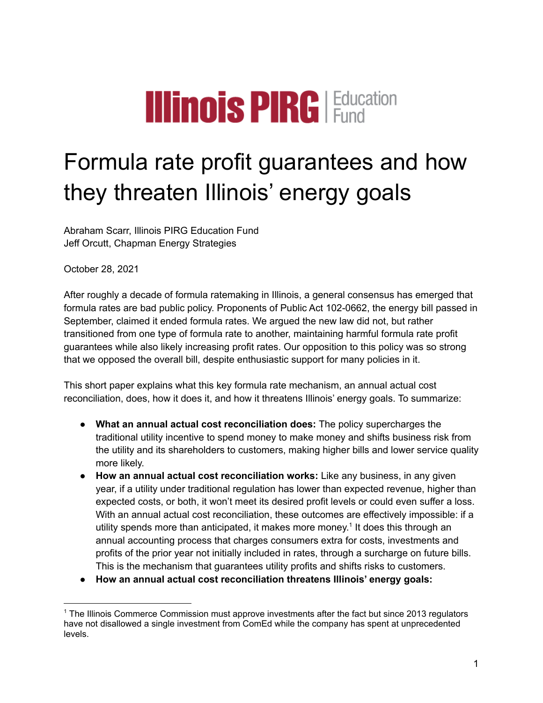# **Illinois PIRG** Education

# Formula rate profit guarantees and how they threaten Illinois' energy goals

Abraham Scarr, Illinois PIRG Education Fund Jeff Orcutt, Chapman Energy Strategies

October 28, 2021

After roughly a decade of formula ratemaking in Illinois, a general consensus has emerged that formula rates are bad public policy. Proponents of Public Act 102-0662, the energy bill passed in September, claimed it ended formula rates. We argued the new law did not, but rather transitioned from one type of formula rate to another, maintaining harmful formula rate profit guarantees while also likely increasing profit rates. Our opposition to this policy was so strong that we opposed the overall bill, despite enthusiastic support for many policies in it.

This short paper explains what this key formula rate mechanism, an annual actual cost reconciliation, does, how it does it, and how it threatens Illinois' energy goals. To summarize:

- **● What an annual actual cost reconciliation does:** The policy supercharges the traditional utility incentive to spend money to make money and shifts business risk from the utility and its shareholders to customers, making higher bills and lower service quality more likely.
- **● How an annual actual cost reconciliation works:** Like any business, in any given year, if a utility under traditional regulation has lower than expected revenue, higher than expected costs, or both, it won't meet its desired profit levels or could even suffer a loss. With an annual actual cost reconciliation, these outcomes are effectively impossible: if a utility spends more than anticipated, it makes more money. 1 It does this through an annual accounting process that charges consumers extra for costs, investments and profits of the prior year not initially included in rates, through a surcharge on future bills. This is the mechanism that guarantees utility profits and shifts risks to customers.
- **● How an annual actual cost reconciliation threatens Illinois' energy goals:**

<sup>1</sup> The Illinois Commerce Commission must approve investments after the fact but since 2013 regulators have not disallowed a single investment from ComEd while the company has spent at unprecedented levels.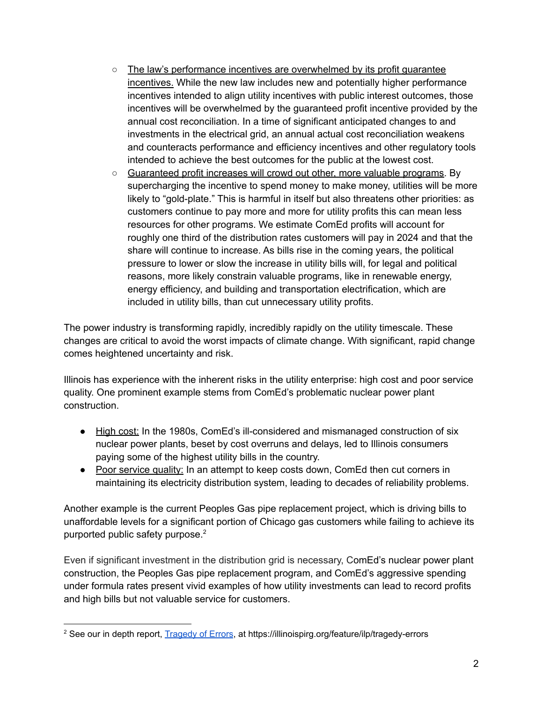- The law's performance incentives are overwhelmed by its profit quarantee incentives. While the new law includes new and potentially higher performance incentives intended to align utility incentives with public interest outcomes, those incentives will be overwhelmed by the guaranteed profit incentive provided by the annual cost reconciliation. In a time of significant anticipated changes to and investments in the electrical grid, an annual actual cost reconciliation weakens and counteracts performance and efficiency incentives and other regulatory tools intended to achieve the best outcomes for the public at the lowest cost.
- Guaranteed profit increases will crowd out other, more valuable programs. By supercharging the incentive to spend money to make money, utilities will be more likely to "gold-plate." This is harmful in itself but also threatens other priorities: as customers continue to pay more and more for utility profits this can mean less resources for other programs. We estimate ComEd profits will account for roughly one third of the distribution rates customers will pay in 2024 and that the share will continue to increase. As bills rise in the coming years, the political pressure to lower or slow the increase in utility bills will, for legal and political reasons, more likely constrain valuable programs, like in renewable energy, energy efficiency, and building and transportation electrification, which are included in utility bills, than cut unnecessary utility profits.

The power industry is transforming rapidly, incredibly rapidly on the utility timescale. These changes are critical to avoid the worst impacts of climate change. With significant, rapid change comes heightened uncertainty and risk.

Illinois has experience with the inherent risks in the utility enterprise: high cost and poor service quality. One prominent example stems from ComEd's problematic nuclear power plant construction.

- High cost: In the 1980s, ComEd's ill-considered and mismanaged construction of six nuclear power plants, beset by cost overruns and delays, led to Illinois consumers paying some of the highest utility bills in the country.
- Poor service quality: In an attempt to keep costs down, ComEd then cut corners in maintaining its electricity distribution system, leading to decades of reliability problems.

Another example is the current Peoples Gas pipe replacement project, which is driving bills to unaffordable levels for a significant portion of Chicago gas customers while failing to achieve its purported public safety purpose. 2

Even if significant investment in the distribution grid is necessary, ComEd's nuclear power plant construction, the Peoples Gas pipe replacement program, and ComEd's aggressive spending under formula rates present vivid examples of how utility investments can lead to record profits and high bills but not valuable service for customers.

<sup>&</sup>lt;sup>2</sup> See our in depth report, **[Tragedy](https://illinoispirg.org/feature/ilp/tragedy-errors) of Errors**, at https://illinoispirg.org/feature/ilp/tragedy-errors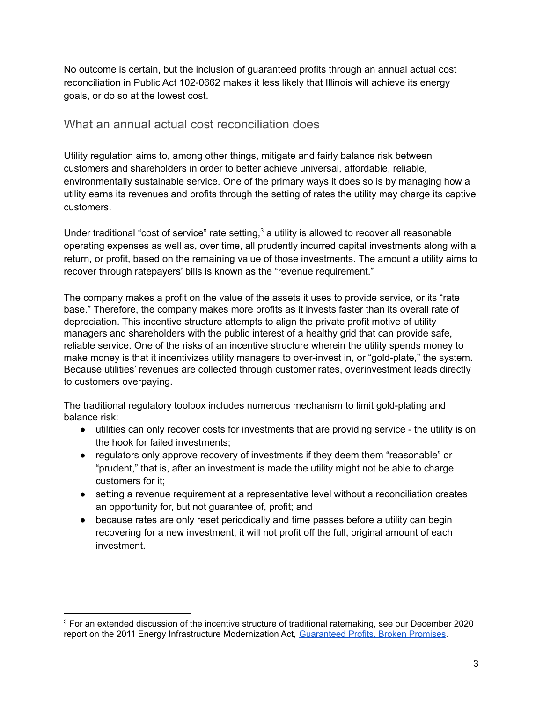No outcome is certain, but the inclusion of guaranteed profits through an annual actual cost reconciliation in Public Act 102-0662 makes it less likely that Illinois will achieve its energy goals, or do so at the lowest cost.

## What an annual actual cost reconciliation does

Utility regulation aims to, among other things, mitigate and fairly balance risk between customers and shareholders in order to better achieve universal, affordable, reliable, environmentally sustainable service. One of the primary ways it does so is by managing how a utility earns its revenues and profits through the setting of rates the utility may charge its captive customers.

Under traditional "cost of service" rate setting, $3$  a utility is allowed to recover all reasonable operating expenses as well as, over time, all prudently incurred capital investments along with a return, or profit, based on the remaining value of those investments. The amount a utility aims to recover through ratepayers' bills is known as the "revenue requirement."

The company makes a profit on the value of the assets it uses to provide service, or its "rate base." Therefore, the company makes more profits as it invests faster than its overall rate of depreciation. This incentive structure attempts to align the private profit motive of utility managers and shareholders with the public interest of a healthy grid that can provide safe, reliable service. One of the risks of an incentive structure wherein the utility spends money to make money is that it incentivizes utility managers to over-invest in, or "gold-plate," the system. Because utilities' revenues are collected through customer rates, overinvestment leads directly to customers overpaying.

The traditional regulatory toolbox includes numerous mechanism to limit gold-plating and balance risk:

- utilities can only recover costs for investments that are providing service the utility is on the hook for failed investments;
- regulators only approve recovery of investments if they deem them "reasonable" or "prudent," that is, after an investment is made the utility might not be able to charge customers for it;
- setting a revenue requirement at a representative level without a reconciliation creates an opportunity for, but not guarantee of, profit; and
- because rates are only reset periodically and time passes before a utility can begin recovering for a new investment, it will not profit off the full, original amount of each investment.

<sup>&</sup>lt;sup>3</sup> For an extended discussion of the incentive structure of traditional ratemaking, see our December 2020 report on the 2011 Energy Infrastructure Modernization Act, [Guaranteed](https://illinoispirg.org/reports/ilp/guaranteed-profits-broken-promises) Profits, Broken Promises.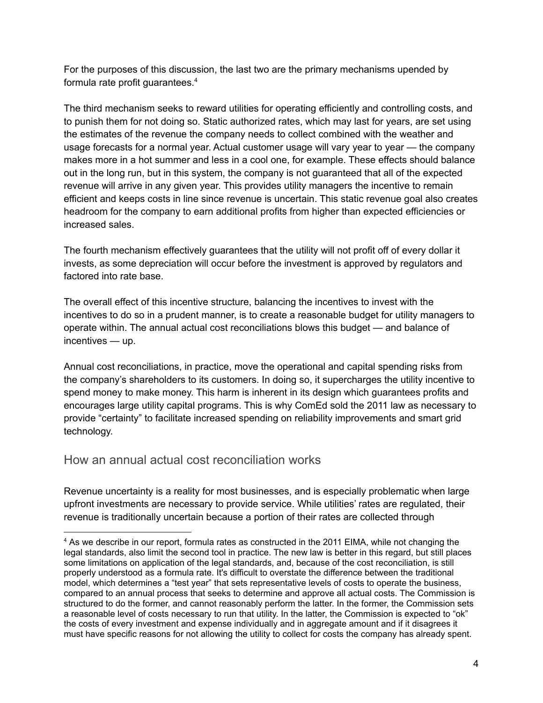For the purposes of this discussion, the last two are the primary mechanisms upended by formula rate profit guarantees. 4

The third mechanism seeks to reward utilities for operating efficiently and controlling costs, and to punish them for not doing so. Static authorized rates, which may last for years, are set using the estimates of the revenue the company needs to collect combined with the weather and usage forecasts for a normal year. Actual customer usage will vary year to year — the company makes more in a hot summer and less in a cool one, for example. These effects should balance out in the long run, but in this system, the company is not guaranteed that all of the expected revenue will arrive in any given year. This provides utility managers the incentive to remain efficient and keeps costs in line since revenue is uncertain. This static revenue goal also creates headroom for the company to earn additional profits from higher than expected efficiencies or increased sales.

The fourth mechanism effectively guarantees that the utility will not profit off of every dollar it invests, as some depreciation will occur before the investment is approved by regulators and factored into rate base.

The overall effect of this incentive structure, balancing the incentives to invest with the incentives to do so in a prudent manner, is to create a reasonable budget for utility managers to operate within. The annual actual cost reconciliations blows this budget — and balance of incentives — up.

Annual cost reconciliations, in practice, move the operational and capital spending risks from the company's shareholders to its customers. In doing so, it supercharges the utility incentive to spend money to make money. This harm is inherent in its design which guarantees profits and encourages large utility capital programs. This is why ComEd sold the 2011 law as necessary to provide "certainty" to facilitate increased spending on reliability improvements and smart grid technology.

# How an annual actual cost reconciliation works

Revenue uncertainty is a reality for most businesses, and is especially problematic when large upfront investments are necessary to provide service. While utilities' rates are regulated, their revenue is traditionally uncertain because a portion of their rates are collected through

<sup>&</sup>lt;sup>4</sup> As we describe in our report, formula rates as constructed in the 2011 EIMA, while not changing the legal standards, also limit the second tool in practice. The new law is better in this regard, but still places some limitations on application of the legal standards, and, because of the cost reconciliation, is still properly understood as a formula rate. It's difficult to overstate the difference between the traditional model, which determines a "test year" that sets representative levels of costs to operate the business, compared to an annual process that seeks to determine and approve all actual costs. The Commission is structured to do the former, and cannot reasonably perform the latter. In the former, the Commission sets a reasonable level of costs necessary to run that utility. In the latter, the Commission is expected to "ok" the costs of every investment and expense individually and in aggregate amount and if it disagrees it must have specific reasons for not allowing the utility to collect for costs the company has already spent.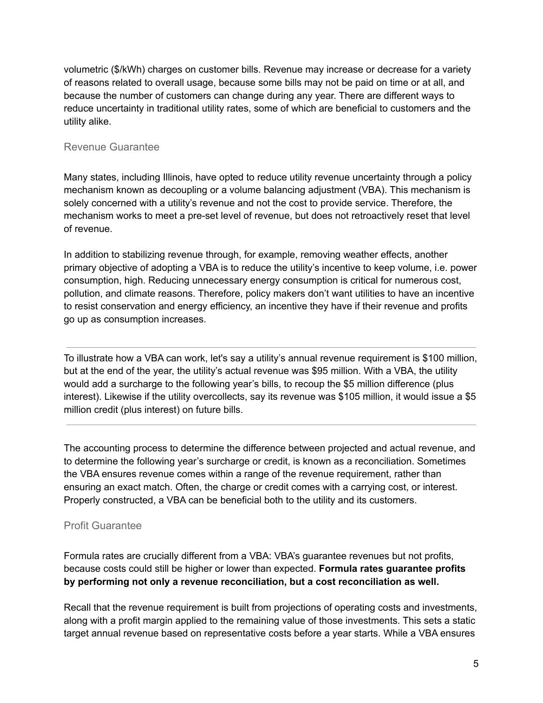volumetric (\$/kWh) charges on customer bills. Revenue may increase or decrease for a variety of reasons related to overall usage, because some bills may not be paid on time or at all, and because the number of customers can change during any year. There are different ways to reduce uncertainty in traditional utility rates, some of which are beneficial to customers and the utility alike.

### Revenue Guarantee

Many states, including Illinois, have opted to reduce utility revenue uncertainty through a policy mechanism known as decoupling or a volume balancing adjustment (VBA). This mechanism is solely concerned with a utility's revenue and not the cost to provide service. Therefore, the mechanism works to meet a pre-set level of revenue, but does not retroactively reset that level of revenue.

In addition to stabilizing revenue through, for example, removing weather effects, another primary objective of adopting a VBA is to reduce the utility's incentive to keep volume, i.e. power consumption, high. Reducing unnecessary energy consumption is critical for numerous cost, pollution, and climate reasons. Therefore, policy makers don't want utilities to have an incentive to resist conservation and energy efficiency, an incentive they have if their revenue and profits go up as consumption increases.

To illustrate how a VBA can work, let's say a utility's annual revenue requirement is \$100 million, but at the end of the year, the utility's actual revenue was \$95 million. With a VBA, the utility would add a surcharge to the following year's bills, to recoup the \$5 million difference (plus interest). Likewise if the utility overcollects, say its revenue was \$105 million, it would issue a \$5 million credit (plus interest) on future bills.

The accounting process to determine the difference between projected and actual revenue, and to determine the following year's surcharge or credit, is known as a reconciliation. Sometimes the VBA ensures revenue comes within a range of the revenue requirement, rather than ensuring an exact match. Often, the charge or credit comes with a carrying cost, or interest. Properly constructed, a VBA can be beneficial both to the utility and its customers.

### Profit Guarantee

Formula rates are crucially different from a VBA: VBA's guarantee revenues but not profits, because costs could still be higher or lower than expected. **Formula rates guarantee profits by performing not only a revenue reconciliation, but a cost reconciliation as well.**

Recall that the revenue requirement is built from projections of operating costs and investments, along with a profit margin applied to the remaining value of those investments. This sets a static target annual revenue based on representative costs before a year starts. While a VBA ensures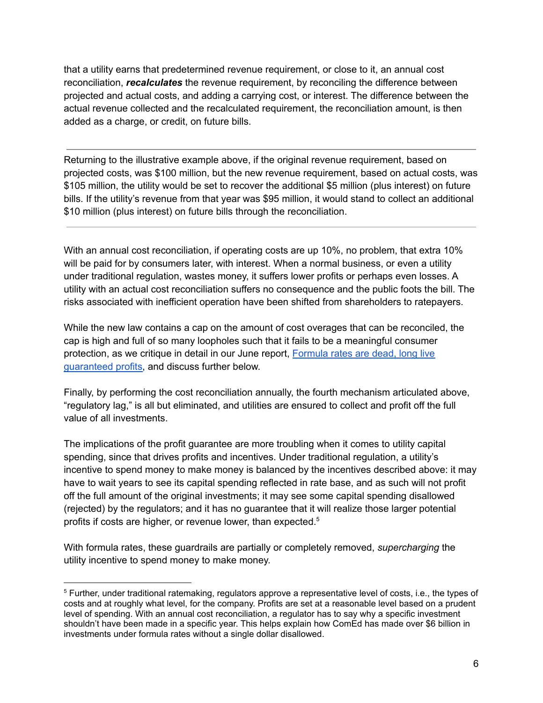that a utility earns that predetermined revenue requirement, or close to it, an annual cost reconciliation, *recalculates* the revenue requirement, by reconciling the difference between projected and actual costs, and adding a carrying cost, or interest. The difference between the actual revenue collected and the recalculated requirement, the reconciliation amount, is then added as a charge, or credit, on future bills.

Returning to the illustrative example above, if the original revenue requirement, based on projected costs, was \$100 million, but the new revenue requirement, based on actual costs, was \$105 million, the utility would be set to recover the additional \$5 million (plus interest) on future bills. If the utility's revenue from that year was \$95 million, it would stand to collect an additional \$10 million (plus interest) on future bills through the reconciliation.

With an annual cost reconciliation, if operating costs are up 10%, no problem, that extra 10% will be paid for by consumers later, with interest. When a normal business, or even a utility under traditional regulation, wastes money, it suffers lower profits or perhaps even losses. A utility with an actual cost reconciliation suffers no consequence and the public foots the bill. The risks associated with inefficient operation have been shifted from shareholders to ratepayers.

While the new law contains a cap on the amount of cost overages that can be reconciled, the cap is high and full of so many loopholes such that it fails to be a meaningful consumer protection, as we critique in detail in our June report, [Formula](https://illinoispirg.org/reports/ilp/formula-rates-are-dead-long-live-guaranteed-profits) rates are dead, long live [guaranteed](https://illinoispirg.org/reports/ilp/formula-rates-are-dead-long-live-guaranteed-profits) profits, and discuss further below.

Finally, by performing the cost reconciliation annually, the fourth mechanism articulated above, "regulatory lag," is all but eliminated, and utilities are ensured to collect and profit off the full value of all investments.

The implications of the profit guarantee are more troubling when it comes to utility capital spending, since that drives profits and incentives. Under traditional regulation, a utility's incentive to spend money to make money is balanced by the incentives described above: it may have to wait years to see its capital spending reflected in rate base, and as such will not profit off the full amount of the original investments; it may see some capital spending disallowed (rejected) by the regulators; and it has no guarantee that it will realize those larger potential profits if costs are higher, or revenue lower, than expected. 5

With formula rates, these guardrails are partially or completely removed, *supercharging* the utility incentive to spend money to make money.

<sup>5</sup> Further, under traditional ratemaking, regulators approve a representative level of costs, i.e., the types of costs and at roughly what level, for the company. Profits are set at a reasonable level based on a prudent level of spending. With an annual cost reconciliation, a regulator has to say why a specific investment shouldn't have been made in a specific year. This helps explain how ComEd has made over \$6 billion in investments under formula rates without a single dollar disallowed.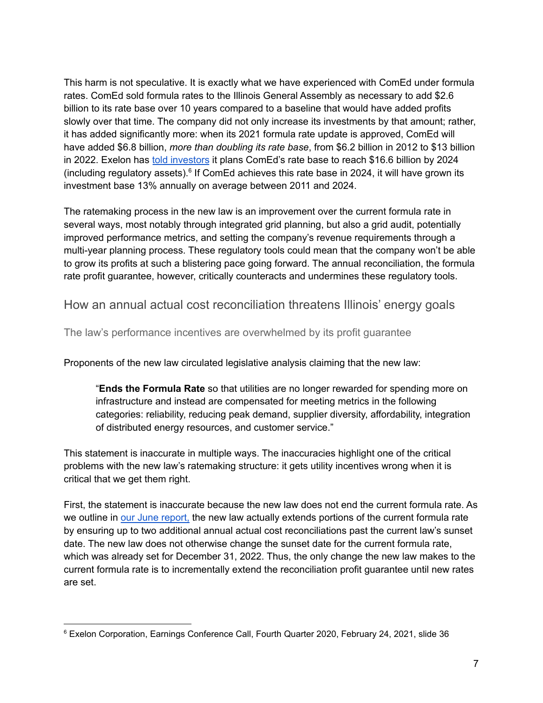This harm is not speculative. It is exactly what we have experienced with ComEd under formula rates. ComEd sold formula rates to the Illinois General Assembly as necessary to add \$2.6 billion to its rate base over 10 years compared to a baseline that would have added profits slowly over that time. The company did not only increase its investments by that amount; rather, it has added significantly more: when its 2021 formula rate update is approved, ComEd will have added \$6.8 billion, *more than doubling its rate base*, from \$6.2 billion in 2012 to \$13 billion in 2022. Exelon has told [investors](https://investors.exeloncorp.com/static-files/2dda3a5d-b5c9-40d6-829f-da5c2efd6cc9) it plans ComEd's rate base to reach \$16.6 billion by 2024 (including regulatory assets). 6 If ComEd achieves this rate base in 2024, it will have grown its investment base 13% annually on average between 2011 and 2024.

The ratemaking process in the new law is an improvement over the current formula rate in several ways, most notably through integrated grid planning, but also a grid audit, potentially improved performance metrics, and setting the company's revenue requirements through a multi-year planning process. These regulatory tools could mean that the company won't be able to grow its profits at such a blistering pace going forward. The annual reconciliation, the formula rate profit guarantee, however, critically counteracts and undermines these regulatory tools.

How an annual actual cost reconciliation threatens Illinois' energy goals

The law's performance incentives are overwhelmed by its profit guarantee

Proponents of the new law circulated legislative analysis claiming that the new law:

"**Ends the Formula Rate** so that utilities are no longer rewarded for spending more on infrastructure and instead are compensated for meeting metrics in the following categories: reliability, reducing peak demand, supplier diversity, affordability, integration of distributed energy resources, and customer service."

This statement is inaccurate in multiple ways. The inaccuracies highlight one of the critical problems with the new law's ratemaking structure: it gets utility incentives wrong when it is critical that we get them right.

First, the statement is inaccurate because the new law does not end the current formula rate. As we outline in our June [report,](https://illinoispirg.org/reports/ilp/formula-rates-are-dead-long-live-guaranteed-profits) the new law actually extends portions of the current formula rate by ensuring up to two additional annual actual cost reconciliations past the current law's sunset date. The new law does not otherwise change the sunset date for the current formula rate, which was already set for December 31, 2022. Thus, the only change the new law makes to the current formula rate is to incrementally extend the reconciliation profit guarantee until new rates are set.

<sup>6</sup> Exelon Corporation, Earnings Conference Call, Fourth Quarter 2020, February 24, 2021, slide 36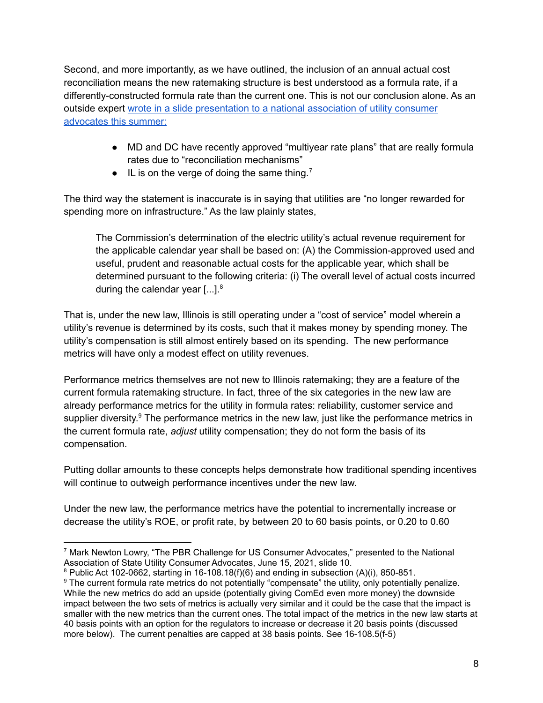Second, and more importantly, as we have outlined, the inclusion of an annual actual cost reconciliation means the new ratemaking structure is best understood as a formula rate, if a differently-constructed formula rate than the current one. This is not our conclusion alone. As an outside expert wrote in a slide [presentation](https://www.nasuca.org/wp-content/uploads/2021/03/Lowry-NASUCA-presentation-1.pptx) to a national association of utility consumer [advocates](https://www.nasuca.org/wp-content/uploads/2021/03/Lowry-NASUCA-presentation-1.pptx) this summer:

- MD and DC have recently approved "multiyear rate plans" that are really formula rates due to "reconciliation mechanisms"
- $\bullet$  IL is on the verge of doing the same thing.<sup>7</sup>

The third way the statement is inaccurate is in saying that utilities are "no longer rewarded for spending more on infrastructure." As the law plainly states,

The Commission's determination of the electric utility's actual revenue requirement for the applicable calendar year shall be based on: (A) the Commission-approved used and useful, prudent and reasonable actual costs for the applicable year, which shall be determined pursuant to the following criteria: (i) The overall level of actual costs incurred during the calendar year  $[...]$ .<sup>8</sup>

That is, under the new law, Illinois is still operating under a "cost of service" model wherein a utility's revenue is determined by its costs, such that it makes money by spending money. The utility's compensation is still almost entirely based on its spending. The new performance metrics will have only a modest effect on utility revenues.

Performance metrics themselves are not new to Illinois ratemaking; they are a feature of the current formula ratemaking structure. In fact, three of the six categories in the new law are already performance metrics for the utility in formula rates: reliability, customer service and supplier diversity.<sup>9</sup> The performance metrics in the new law, just like the performance metrics in the current formula rate, *adjust* utility compensation; they do not form the basis of its compensation.

Putting dollar amounts to these concepts helps demonstrate how traditional spending incentives will continue to outweigh performance incentives under the new law.

Under the new law, the performance metrics have the potential to incrementally increase or decrease the utility's ROE, or profit rate, by between 20 to 60 basis points, or 0.20 to 0.60

<sup>7</sup> Mark Newton Lowry, "The PBR Challenge for US Consumer Advocates," presented to the National Association of State Utility Consumer Advocates, June 15, 2021, slide 10.

 $8$  Public Act 102-0662, starting in 16-108.18(f)(6) and ending in subsection (A)(i), 850-851.

<sup>&</sup>lt;sup>9</sup> The current formula rate metrics do not potentially "compensate" the utility, only potentially penalize. While the new metrics do add an upside (potentially giving ComEd even more money) the downside impact between the two sets of metrics is actually very similar and it could be the case that the impact is smaller with the new metrics than the current ones. The total impact of the metrics in the new law starts at 40 basis points with an option for the regulators to increase or decrease it 20 basis points (discussed more below). The current penalties are capped at 38 basis points. See 16-108.5(f-5)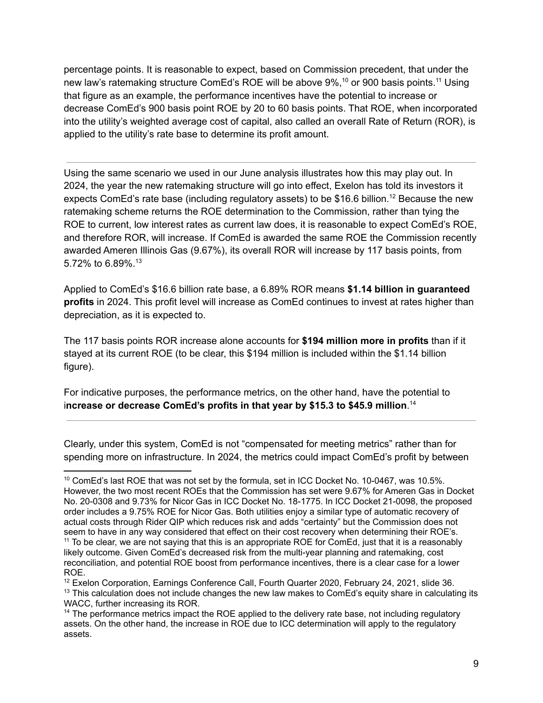percentage points. It is reasonable to expect, based on Commission precedent, that under the new law's ratemaking structure ComEd's ROE will be above 9%,<sup>10</sup> or 900 basis points.<sup>11</sup> Using that figure as an example, the performance incentives have the potential to increase or decrease ComEd's 900 basis point ROE by 20 to 60 basis points. That ROE, when incorporated into the utility's weighted average cost of capital, also called an overall Rate of Return (ROR), is applied to the utility's rate base to determine its profit amount.

Using the same scenario we used in our June analysis illustrates how this may play out. In 2024, the year the new ratemaking structure will go into effect, Exelon has told its investors it expects ComEd's rate base (including regulatory assets) to be \$16.6 billion.<sup>12</sup> Because the new ratemaking scheme returns the ROE determination to the Commission, rather than tying the ROE to current, low interest rates as current law does, it is reasonable to expect ComEd's ROE, and therefore ROR, will increase. If ComEd is awarded the same ROE the Commission recently awarded Ameren Illinois Gas (9.67%), its overall ROR will increase by 117 basis points, from 5.72% to 6.89%. 13

Applied to ComEd's \$16.6 billion rate base, a 6.89% ROR means **\$1.14 billion in guaranteed profits** in 2024. This profit level will increase as ComEd continues to invest at rates higher than depreciation, as it is expected to.

The 117 basis points ROR increase alone accounts for **\$194 million more in profits** than if it stayed at its current ROE (to be clear, this \$194 million is included within the \$1.14 billion figure).

For indicative purposes, the performance metrics, on the other hand, have the potential to i**ncrease or decrease ComEd's profits in that year by \$15.3 to \$45.9 million**. 14

Clearly, under this system, ComEd is not "compensated for meeting metrics" rather than for spending more on infrastructure. In 2024, the metrics could impact ComEd's profit by between

<sup>&</sup>lt;sup>10</sup> ComEd's last ROE that was not set by the formula, set in ICC Docket No. 10-0467, was 10.5%. However, the two most recent ROEs that the Commission has set were 9.67% for Ameren Gas in Docket No. 20-0308 and 9.73% for Nicor Gas in ICC Docket No. 18-1775. In ICC Docket 21-0098, the proposed order includes a 9.75% ROE for Nicor Gas. Both utilities enjoy a similar type of automatic recovery of actual costs through Rider QIP which reduces risk and adds "certainty" but the Commission does not seem to have in any way considered that effect on their cost recovery when determining their ROE's.

 $11$  To be clear, we are not saying that this is an appropriate ROE for ComEd, just that it is a reasonably likely outcome. Given ComEd's decreased risk from the multi-year planning and ratemaking, cost reconciliation, and potential ROE boost from performance incentives, there is a clear case for a lower ROE.

 $13$  This calculation does not include changes the new law makes to ComEd's equity share in calculating its WACC, further increasing its ROR. <sup>12</sup> Exelon Corporation, Earnings Conference Call, Fourth Quarter 2020, February 24, 2021, slide 36.

<sup>&</sup>lt;sup>14</sup> The performance metrics impact the ROE applied to the delivery rate base, not including regulatory assets. On the other hand, the increase in ROE due to ICC determination will apply to the regulatory assets.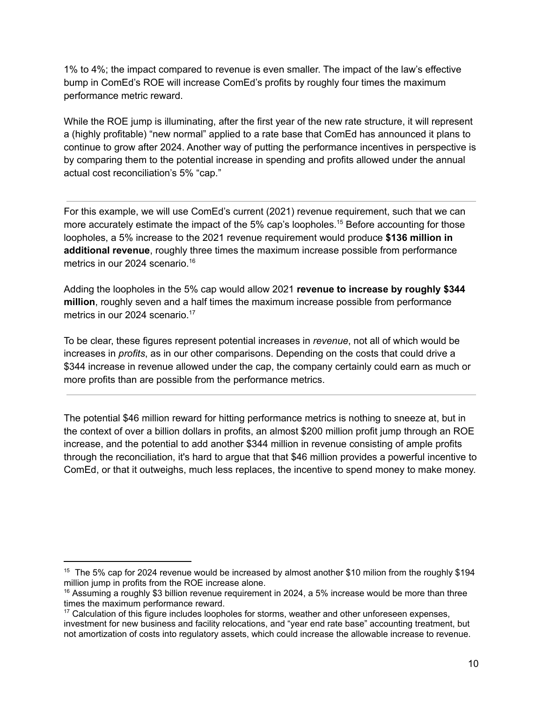1% to 4%; the impact compared to revenue is even smaller. The impact of the law's effective bump in ComEd's ROE will increase ComEd's profits by roughly four times the maximum performance metric reward.

While the ROE jump is illuminating, after the first year of the new rate structure, it will represent a (highly profitable) "new normal" applied to a rate base that ComEd has announced it plans to continue to grow after 2024. Another way of putting the performance incentives in perspective is by comparing them to the potential increase in spending and profits allowed under the annual actual cost reconciliation's 5% "cap."

For this example, we will use ComEd's current (2021) revenue requirement, such that we can more accurately estimate the impact of the 5% cap's loopholes. <sup>15</sup> Before accounting for those loopholes, a 5% increase to the 2021 revenue requirement would produce **\$136 million in additional revenue**, roughly three times the maximum increase possible from performance metrics in our 2024 scenario. 16

Adding the loopholes in the 5% cap would allow 2021 **revenue to increase by roughly \$344 million**, roughly seven and a half times the maximum increase possible from performance metrics in our 2024 scenario. 17

To be clear, these figures represent potential increases in *revenue*, not all of which would be increases in *profits*, as in our other comparisons. Depending on the costs that could drive a \$344 increase in revenue allowed under the cap, the company certainly could earn as much or more profits than are possible from the performance metrics.

The potential \$46 million reward for hitting performance metrics is nothing to sneeze at, but in the context of over a billion dollars in profits, an almost \$200 million profit jump through an ROE increase, and the potential to add another \$344 million in revenue consisting of ample profits through the reconciliation, it's hard to argue that that \$46 million provides a powerful incentive to ComEd, or that it outweighs, much less replaces, the incentive to spend money to make money.

<sup>&</sup>lt;sup>15</sup> The 5% cap for 2024 revenue would be increased by almost another \$10 milion from the roughly \$194 million jump in profits from the ROE increase alone.

 $16$  Assuming a roughly \$3 billion revenue requirement in 2024, a 5% increase would be more than three times the maximum performance reward.

<sup>&</sup>lt;sup>17</sup> Calculation of this figure includes loopholes for storms, weather and other unforeseen expenses, investment for new business and facility relocations, and "year end rate base" accounting treatment, but not amortization of costs into regulatory assets, which could increase the allowable increase to revenue.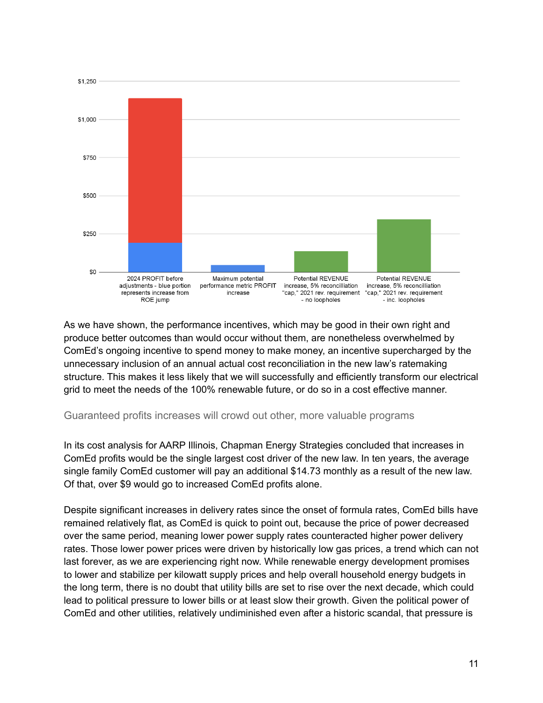

As we have shown, the performance incentives, which may be good in their own right and produce better outcomes than would occur without them, are nonetheless overwhelmed by ComEd's ongoing incentive to spend money to make money, an incentive supercharged by the unnecessary inclusion of an annual actual cost reconciliation in the new law's ratemaking structure. This makes it less likely that we will successfully and efficiently transform our electrical grid to meet the needs of the 100% renewable future, or do so in a cost effective manner.

#### Guaranteed profits increases will crowd out other, more valuable programs

In its cost analysis for AARP Illinois, Chapman Energy Strategies concluded that increases in ComEd profits would be the single largest cost driver of the new law. In ten years, the average single family ComEd customer will pay an additional \$14.73 monthly as a result of the new law. Of that, over \$9 would go to increased ComEd profits alone.

Despite significant increases in delivery rates since the onset of formula rates, ComEd bills have remained relatively flat, as ComEd is quick to point out, because the price of power decreased over the same period, meaning lower power supply rates counteracted higher power delivery rates. Those lower power prices were driven by historically low gas prices, a trend which can not last forever, as we are experiencing right now. While renewable energy development promises to lower and stabilize per kilowatt supply prices and help overall household energy budgets in the long term, there is no doubt that utility bills are set to rise over the next decade, which could lead to political pressure to lower bills or at least slow their growth. Given the political power of ComEd and other utilities, relatively undiminished even after a historic scandal, that pressure is